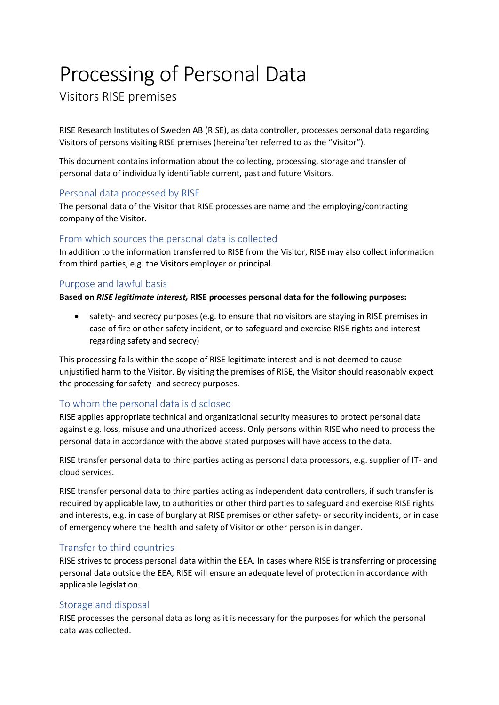# Processing of Personal Data

Visitors RISE premises

RISE Research Institutes of Sweden AB (RISE), as data controller, processes personal data regarding Visitors of persons visiting RISE premises (hereinafter referred to as the "Visitor").

This document contains information about the collecting, processing, storage and transfer of personal data of individually identifiable current, past and future Visitors.

## Personal data processed by RISE

The personal data of the Visitor that RISE processes are name and the employing/contracting company of the Visitor.

## From which sources the personal data is collected

In addition to the information transferred to RISE from the Visitor, RISE may also collect information from third parties, e.g. the Visitors employer or principal.

## Purpose and lawful basis

#### **Based on** *RISE legitimate interest,* **RISE processes personal data for the following purposes:**

• safety- and secrecy purposes (e.g. to ensure that no visitors are staying in RISE premises in case of fire or other safety incident, or to safeguard and exercise RISE rights and interest regarding safety and secrecy)

This processing falls within the scope of RISE legitimate interest and is not deemed to cause unjustified harm to the Visitor. By visiting the premises of RISE, the Visitor should reasonably expect the processing for safety- and secrecy purposes.

## To whom the personal data is disclosed

RISE applies appropriate technical and organizational security measures to protect personal data against e.g. loss, misuse and unauthorized access. Only persons within RISE who need to process the personal data in accordance with the above stated purposes will have access to the data.

RISE transfer personal data to third parties acting as personal data processors, e.g. supplier of IT- and cloud services.

RISE transfer personal data to third parties acting as independent data controllers, if such transfer is required by applicable law, to authorities or other third parties to safeguard and exercise RISE rights and interests, e.g. in case of burglary at RISE premises or other safety- or security incidents, or in case of emergency where the health and safety of Visitor or other person is in danger.

## Transfer to third countries

RISE strives to process personal data within the EEA. In cases where RISE is transferring or processing personal data outside the EEA, RISE will ensure an adequate level of protection in accordance with applicable legislation.

## Storage and disposal

RISE processes the personal data as long as it is necessary for the purposes for which the personal data was collected.